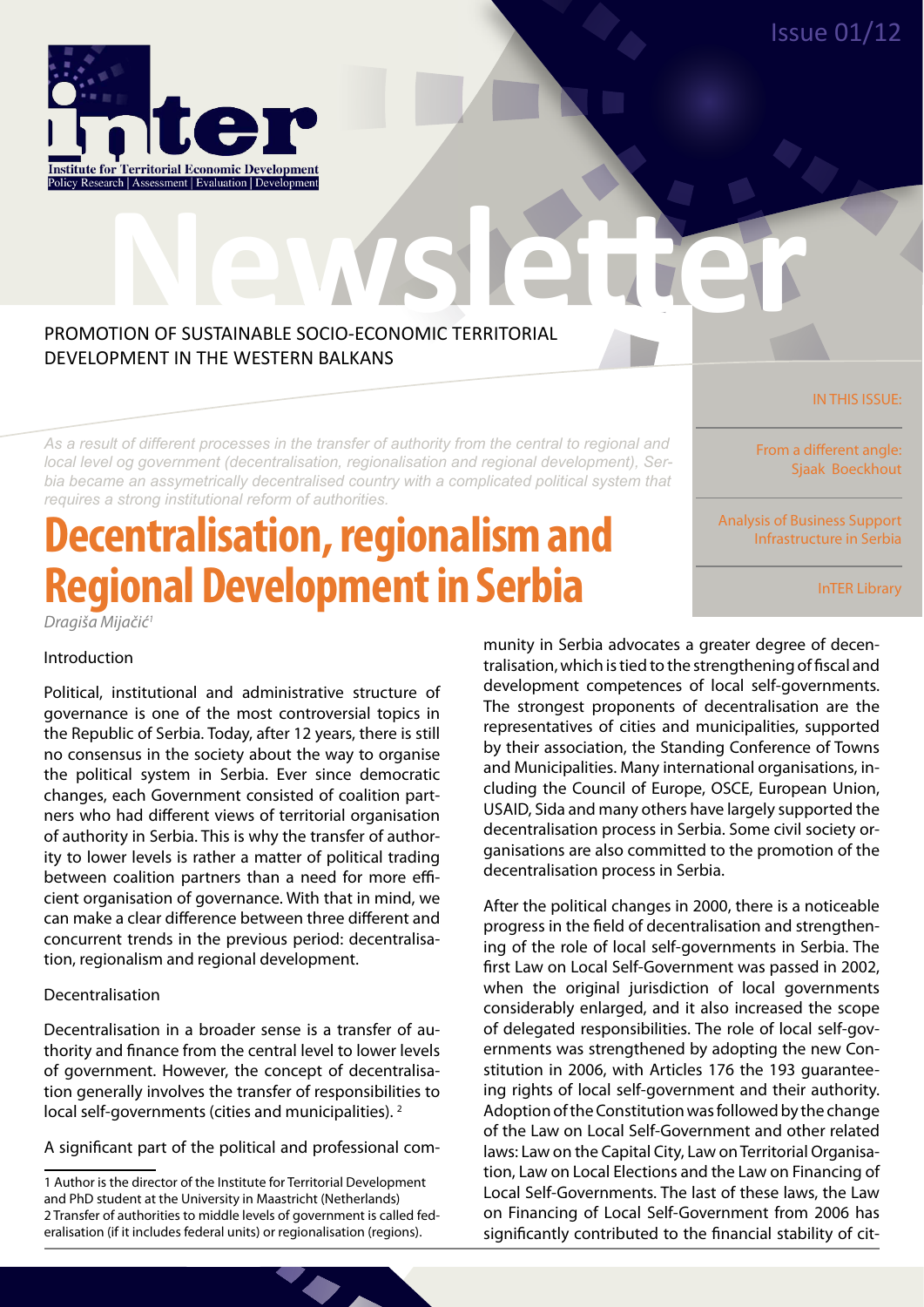Issue 01/12



# **NEWSLETCHER COLORED CONDUCTERRITORIAL** PROMOTION OF SUSTAINABLE SOCIO-ECONOMIC TERRITORIAL DEVELOPMENT IN THE WESTERN BALKANS

*As a result of different processes in the transfer of authority from the central to regional and local level og government (decentralisation, regionalisation and regional development), Serbia became an assymetrically decentralised country with a complicated political system that requires a strong institutional reform of authorities.*

## **Decentralisation, regionalism and Regional Development in Serbia**

*Dragiša Mijačić1*

### Introduction

Political, institutional and administrative structure of governance is one of the most controversial topics in the Republic of Serbia. Today, after 12 years, there is still no consensus in the society about the way to organise the political system in Serbia. Ever since democratic changes, each Government consisted of coalition partners who had different views of territorial organisation of authority in Serbia. This is why the transfer of authority to lower levels is rather a matter of political trading between coalition partners than a need for more efficient organisation of governance. With that in mind, we can make a clear difference between three different and concurrent trends in the previous period: decentralisation, regionalism and regional development.

### Decentralisation

Decentralisation in a broader sense is a transfer of authority and finance from the central level to lower levels of government. However, the concept of decentralisation generally involves the transfer of responsibilities to local self-governments (cities and municipalities).<sup>2</sup>

A significant part of the political and professional com-

munity in Serbia advocates a greater degree of decentralisation, which is tied to the strengthening of fiscal and development competences of local self-governments. The strongest proponents of decentralisation are the representatives of cities and municipalities, supported by their association, the Standing Conference of Towns and Municipalities. Many international organisations, including the Council of Europe, OSCE, European Union, USAID, Sida and many others have largely supported the decentralisation process in Serbia. Some civil society organisations are also committed to the promotion of the decentralisation process in Serbia.

After the political changes in 2000, there is a noticeable progress in the field of decentralisation and strengthening of the role of local self-governments in Serbia. The first Law on Local Self-Government was passed in 2002, when the original jurisdiction of local governments considerably enlarged, and it also increased the scope of delegated responsibilities. The role of local self-governments was strengthened by adopting the new Constitution in 2006, with Articles 176 the 193 guaranteeing rights of local self-government and their authority. Adoption of the Constitution was followed by the change of the Law on Local Self-Government and other related laws: Law on the Capital City, Law on Territorial Organisation, Law on Local Elections and the Law on Financing of Local Self-Governments. The last of these laws, the Law on Financing of Local Self-Government from 2006 has significantly contributed to the financial stability of cit-

#### IN THIS ISSUE:

From a different angle: Sjaak Boeckhout

Analysis of Business Support Infrastructure in Serbia

InTER Library

<sup>1</sup> Author is the director of the Institute for Territorial Development and PhD student at the University in Maastricht (Netherlands) 2 Transfer of authorities to middle levels of government is called federalisation (if it includes federal units) or regionalisation (regions).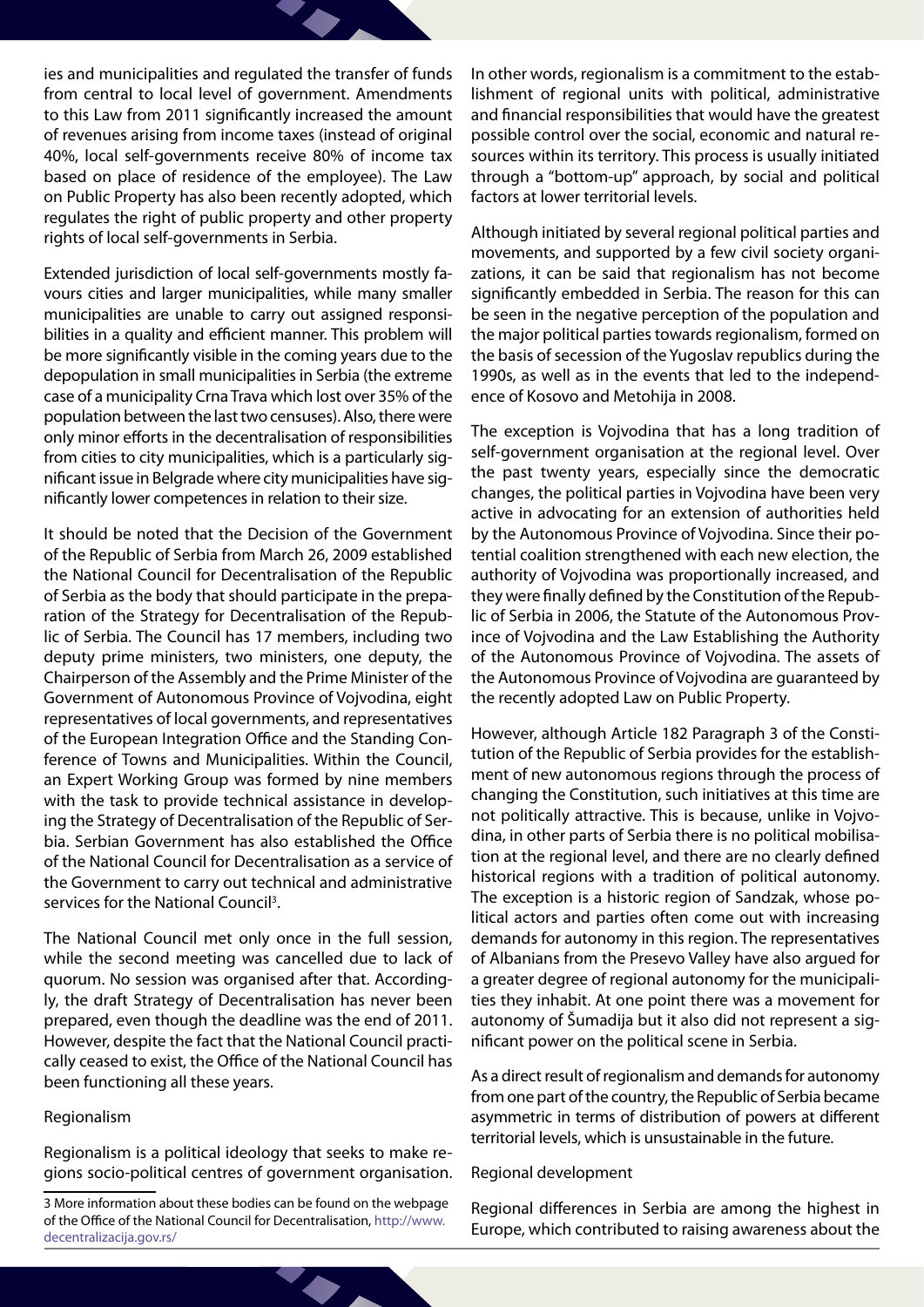ies and municipalities and regulated the transfer of funds from central to local level of government. Amendments to this Law from 2011 significantly increased the amount of revenues arising from income taxes (instead of original 40%, local self-governments receive 80% of income tax based on place of residence of the employee). The Law on Public Property has also been recently adopted, which regulates the right of public property and other property rights of local self-governments in Serbia.

Extended jurisdiction of local self-governments mostly favours cities and larger municipalities, while many smaller municipalities are unable to carry out assigned responsibilities in a quality and efficient manner. This problem will be more significantly visible in the coming years due to the depopulation in small municipalities in Serbia (the extreme case of a municipality Crna Trava which lost over 35% of the population between the last two censuses). Also, there were only minor efforts in the decentralisation of responsibilities from cities to city municipalities, which is a particularly significant issue in Belgrade where city municipalities have significantly lower competences in relation to their size.

It should be noted that the Decision of the Government of the Republic of Serbia from March 26, 2009 established the National Council for Decentralisation of the Republic of Serbia as the body that should participate in the preparation of the Strategy for Decentralisation of the Republic of Serbia. The Council has 17 members, including two deputy prime ministers, two ministers, one deputy, the Chairperson of the Assembly and the Prime Minister of the Government of Autonomous Province of Vojvodina, eight representatives of local governments, and representatives of the European Integration Office and the Standing Conference of Towns and Municipalities. Within the Council, an Expert Working Group was formed by nine members with the task to provide technical assistance in developing the Strategy of Decentralisation of the Republic of Serbia. Serbian Government has also established the Office of the National Council for Decentralisation as a service of the Government to carry out technical and administrative services for the National Council<sup>3</sup>.

The National Council met only once in the full session, while the second meeting was cancelled due to lack of quorum. No session was organised after that. Accordingly, the draft Strategy of Decentralisation has never been prepared, even though the deadline was the end of 2011. However, despite the fact that the National Council practically ceased to exist, the Office of the National Council has been functioning all these years.

#### Regionalism

Regionalism is a political ideology that seeks to make regions socio-political centres of government organisation. In other words, regionalism is a commitment to the establishment of regional units with political, administrative and financial responsibilities that would have the greatest possible control over the social, economic and natural resources within its territory. This process is usually initiated through a "bottom-up" approach, by social and political factors at lower territorial levels.

Although initiated by several regional political parties and movements, and supported by a few civil society organizations, it can be said that regionalism has not become significantly embedded in Serbia. The reason for this can be seen in the negative perception of the population and the major political parties towards regionalism, formed on the basis of secession of the Yugoslav republics during the 1990s, as well as in the events that led to the independence of Kosovo and Metohija in 2008.

The exception is Vojvodina that has a long tradition of self-government organisation at the regional level. Over the past twenty years, especially since the democratic changes, the political parties in Vojvodina have been very active in advocating for an extension of authorities held by the Autonomous Province of Vojvodina. Since their potential coalition strengthened with each new election, the authority of Vojvodina was proportionally increased, and they were finally defined by the Constitution of the Republic of Serbia in 2006, the Statute of the Autonomous Province of Vojvodina and the Law Establishing the Authority of the Autonomous Province of Vojvodina. The assets of the Autonomous Province of Vojvodina are guaranteed by the recently adopted Law on Public Property.

However, although Article 182 Paragraph 3 of the Constitution of the Republic of Serbia provides for the establishment of new autonomous regions through the process of changing the Constitution, such initiatives at this time are not politically attractive. This is because, unlike in Vojvodina, in other parts of Serbia there is no political mobilisation at the regional level, and there are no clearly defined historical regions with a tradition of political autonomy. The exception is a historic region of Sandzak, whose political actors and parties often come out with increasing demands for autonomy in this region. The representatives of Albanians from the Presevo Valley have also argued for a greater degree of regional autonomy for the municipalities they inhabit. At one point there was a movement for autonomy of Šumadija but it also did not represent a significant power on the political scene in Serbia.

As a direct result of regionalism and demands for autonomy from one part of the country, the Republic of Serbia became asymmetric in terms of distribution of powers at different territorial levels, which is unsustainable in the future.

#### Regional development

Regional differences in Serbia are among the highest in Europe, which contributed to raising awareness about the

<sup>3</sup> More information about these bodies can be found on the webpage of the Office of the National Council for Decentralisation, [http://www.](http://www.decentralizacija.gov.rs/) [decentralizacija.gov.rs/](http://www.decentralizacija.gov.rs/)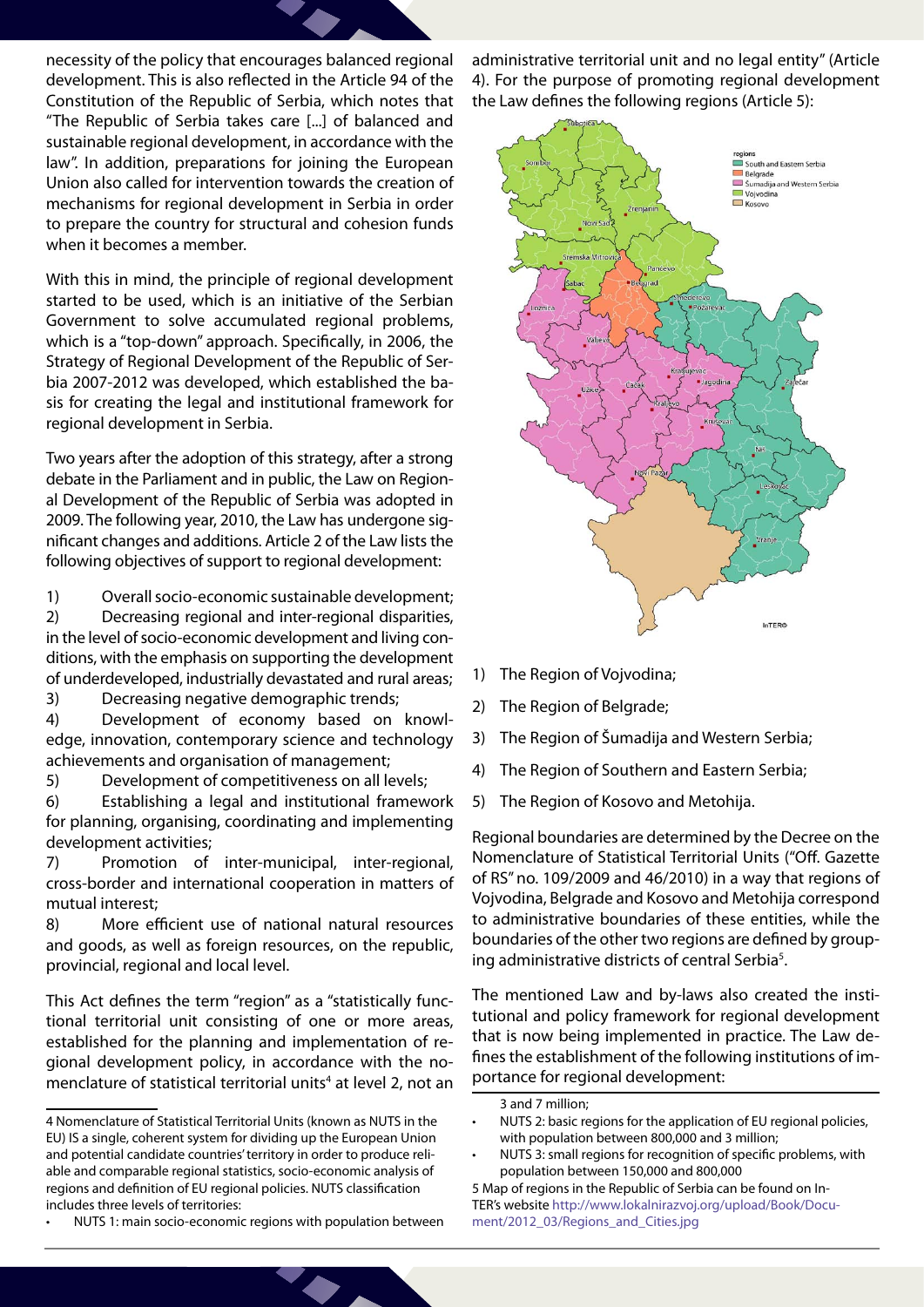necessity of the policy that encourages balanced regional development. This is also reflected in the Article 94 of the Constitution of the Republic of Serbia, which notes that "The Republic of Serbia takes care [...] of balanced and sustainable regional development, in accordance with the law". In addition, preparations for joining the European Union also called for intervention towards the creation of mechanisms for regional development in Serbia in order to prepare the country for structural and cohesion funds when it becomes a member.

With this in mind, the principle of regional development started to be used, which is an initiative of the Serbian Government to solve accumulated regional problems, which is a "top-down" approach. Specifically, in 2006, the Strategy of Regional Development of the Republic of Serbia 2007-2012 was developed, which established the basis for creating the legal and institutional framework for regional development in Serbia.

Two years after the adoption of this strategy, after a strong debate in the Parliament and in public, the Law on Regional Development of the Republic of Serbia was adopted in 2009. The following year, 2010, the Law has undergone significant changes and additions. Article 2 of the Law lists the following objectives of support to regional development:

1) Overall socio-economic sustainable development;

2) Decreasing regional and inter-regional disparities, in the level of socio-economic development and living conditions, with the emphasis on supporting the development of underdeveloped, industrially devastated and rural areas;

3) Decreasing negative demographic trends;

4) Development of economy based on knowledge, innovation, contemporary science and technology achievements and organisation of management;

5) Development of competitiveness on all levels;

6) Establishing a legal and institutional framework for planning, organising, coordinating and implementing development activities;

7) Promotion of inter-municipal, inter-regional, cross-border and international cooperation in matters of mutual interest;

8) More efficient use of national natural resources and goods, as well as foreign resources, on the republic, provincial, regional and local level.

This Act defines the term "region" as a "statistically functional territorial unit consisting of one or more areas, established for the planning and implementation of regional development policy, in accordance with the nomenclature of statistical territorial units<sup>4</sup> at level 2, not an

NUTS 1: main socio-economic regions with population between

administrative territorial unit and no legal entity" (Article 4). For the purpose of promoting regional development the Law defines the following regions (Article 5):



- 1) The Region of Vojvodina;
- 2) The Region of Belgrade;
- 3) The Region of Šumadija and Western Serbia;
- 4) The Region of Southern and Eastern Serbia;
- 5) The Region of Kosovo and Metohija.

Regional boundaries are determined by the Decree on the Nomenclature of Statistical Territorial Units ("Off. Gazette of RS" no. 109/2009 and 46/2010) in a way that regions of Vojvodina, Belgrade and Kosovo and Metohija correspond to administrative boundaries of these entities, while the boundaries of the other two regions are defined by grouping administrative districts of central Serbia<sup>5</sup>.

The mentioned Law and by-laws also created the institutional and policy framework for regional development that is now being implemented in practice. The Law defines the establishment of the following institutions of importance for regional development:

3 and 7 million;

- NUTS 2: basic regions for the application of EU regional policies, with population between 800,000 and 3 million;
- NUTS 3: small regions for recognition of specific problems, with population between 150,000 and 800,000

5 Map of regions in the Republic of Serbia can be found on In-TER's website [http://www.lokalnirazvoj.org/upload/Book/Docu](http://www.lokalnirazvoj.org/upload/Book/Document/2012_03/Regions_and_Cities.jpg)[ment/2012\\_03/Regions\\_and\\_Cities.jpg](http://www.lokalnirazvoj.org/upload/Book/Document/2012_03/Regions_and_Cities.jpg)

<sup>4</sup> Nomenclature of Statistical Territorial Units (known as NUTS in the EU) IS a single, coherent system for dividing up the European Union and potential candidate countries' territory in order to produce reliable and comparable regional statistics, socio-economic analysis of regions and definition of EU regional policies. NUTS classification includes three levels of territories: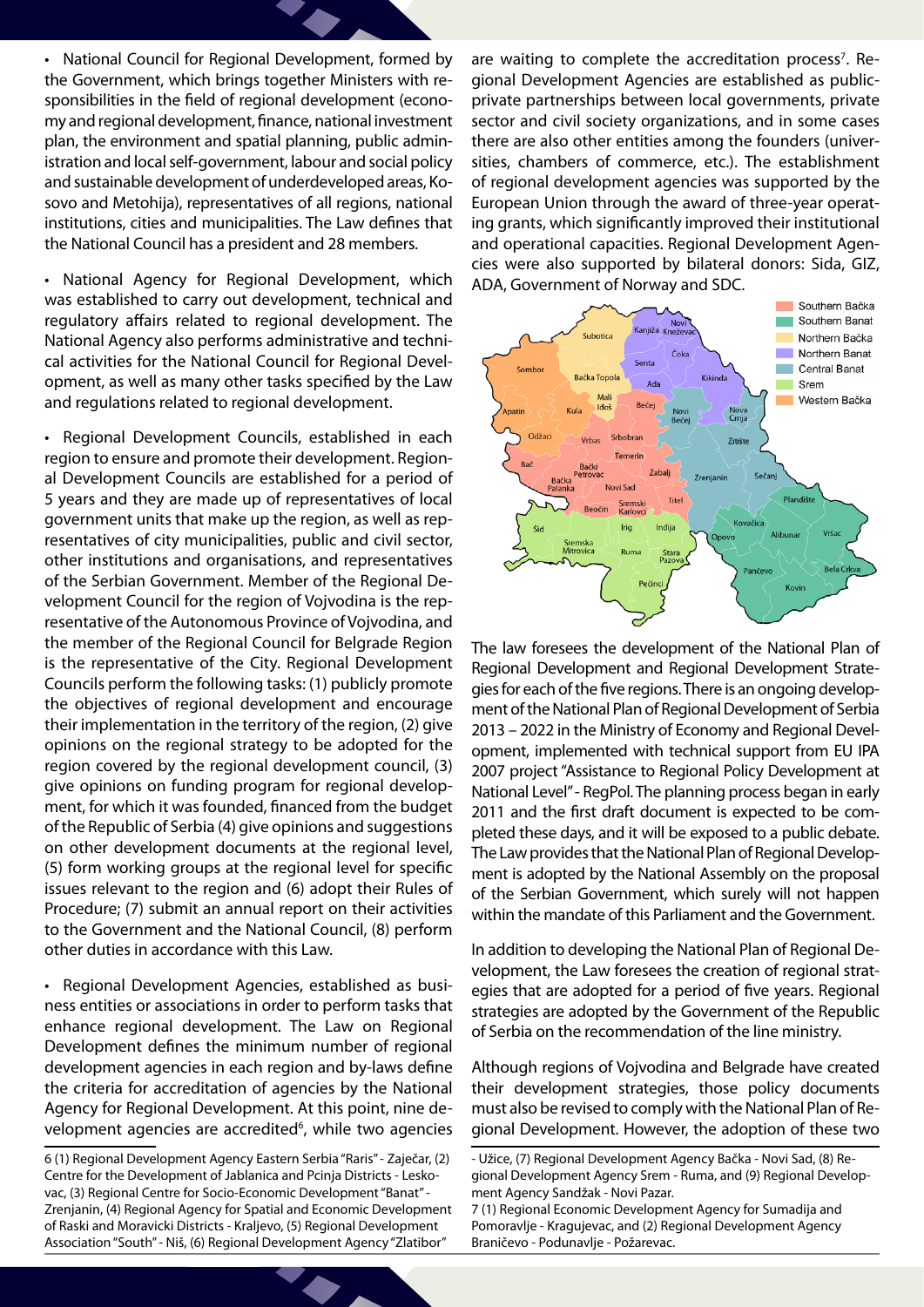• National Council for Regional Development, formed by the Government, which brings together Ministers with responsibilities in the field of regional development (economy and regional development, finance, national investment plan, the environment and spatial planning, public administration and local self-government, labour and social policy and sustainable development of underdeveloped areas, Kosovo and Metohija), representatives of all regions, national institutions, cities and municipalities. The Law defines that the National Council has a president and 28 members.

• National Agency for Regional Development, which was established to carry out development, technical and regulatory affairs related to regional development. The National Agency also performs administrative and technical activities for the National Council for Regional Development, as well as many other tasks specified by the Law and regulations related to regional development.

• Regional Development Councils, established in each region to ensure and promote their development. Regional Development Councils are established for a period of 5 years and they are made up of representatives of local government units that make up the region, as well as representatives of city municipalities, public and civil sector, other institutions and organisations, and representatives of the Serbian Government. Member of the Regional Development Council for the region of Vojvodina is the representative of the Autonomous Province of Vojvodina, and the member of the Regional Council for Belgrade Region is the representative of the City. Regional Development Councils perform the following tasks: (1) publicly promote the objectives of regional development and encourage their implementation in the territory of the region, (2) give opinions on the regional strategy to be adopted for the region covered by the regional development council, (3) give opinions on funding program for regional development, for which it was founded, financed from the budget of the Republic of Serbia (4) give opinions and suggestions on other development documents at the regional level, (5) form working groups at the regional level for specific issues relevant to the region and (6) adopt their Rules of Procedure; (7) submit an annual report on their activities to the Government and the National Council, (8) perform other duties in accordance with this Law.

• Regional Development Agencies, established as business entities or associations in order to perform tasks that enhance regional development. The Law on Regional Development defines the minimum number of regional development agencies in each region and by-laws define the criteria for accreditation of agencies by the National Agency for Regional Development. At this point, nine development agencies are accredited<sup>6</sup>, while two agencies

6 (1) Regional Development Agency Eastern Serbia "Raris" - Zaječar, (2) Centre for the Development of Jablanica and Pcinja Districts - Leskovac, (3) Regional Centre for Socio-Economic Development "Banat" - Zrenjanin, (4) Regional Agency for Spatial and Economic Development of Raski and Moravicki Districts - Kraljevo, (5) Regional Development Association "South" - Niš, (6) Regional Development Agency "Zlatibor"

are waiting to complete the accreditation process<sup>7</sup>. Regional Development Agencies are established as publicprivate partnerships between local governments, private sector and civil society organizations, and in some cases there are also other entities among the founders (universities, chambers of commerce, etc.). The establishment of regional development agencies was supported by the European Union through the award of three-year operating grants, which significantly improved their institutional and operational capacities. Regional Development Agencies were also supported by bilateral donors: Sida, GIZ, ADA, Government of Norway and SDC.



The law foresees the development of the National Plan of Regional Development and Regional Development Strategies for each of the five regions. There is an ongoing development of the National Plan of Regional Development of Serbia 2013 – 2022 in the Ministry of Economy and Regional Development, implemented with technical support from EU IPA 2007 project "Assistance to Regional Policy Development at National Level" - RegPol. The planning process began in early 2011 and the first draft document is expected to be completed these days, and it will be exposed to a public debate. The Law provides that the National Plan of Regional Development is adopted by the National Assembly on the proposal of the Serbian Government, which surely will not happen within the mandate of this Parliament and the Government.

In addition to developing the National Plan of Regional Development, the Law foresees the creation of regional strategies that are adopted for a period of five years. Regional strategies are adopted by the Government of the Republic of Serbia on the recommendation of the line ministry.

Although regions of Vojvodina and Belgrade have created their development strategies, those policy documents must also be revised to comply with the National Plan of Regional Development. However, the adoption of these two

<sup>-</sup> Užice, (7) Regional Development Agency Bačka - Novi Sad, (8) Regional Development Agency Srem - Ruma, and (9) Regional Development Agency Sandžak - Novi Pazar.

<sup>7 (1)</sup> Regional Economic Development Agency for Sumadija and Pomoravlje - Kragujevac, and (2) Regional Development Agency Braničevo - Podunavlje - Požarevac.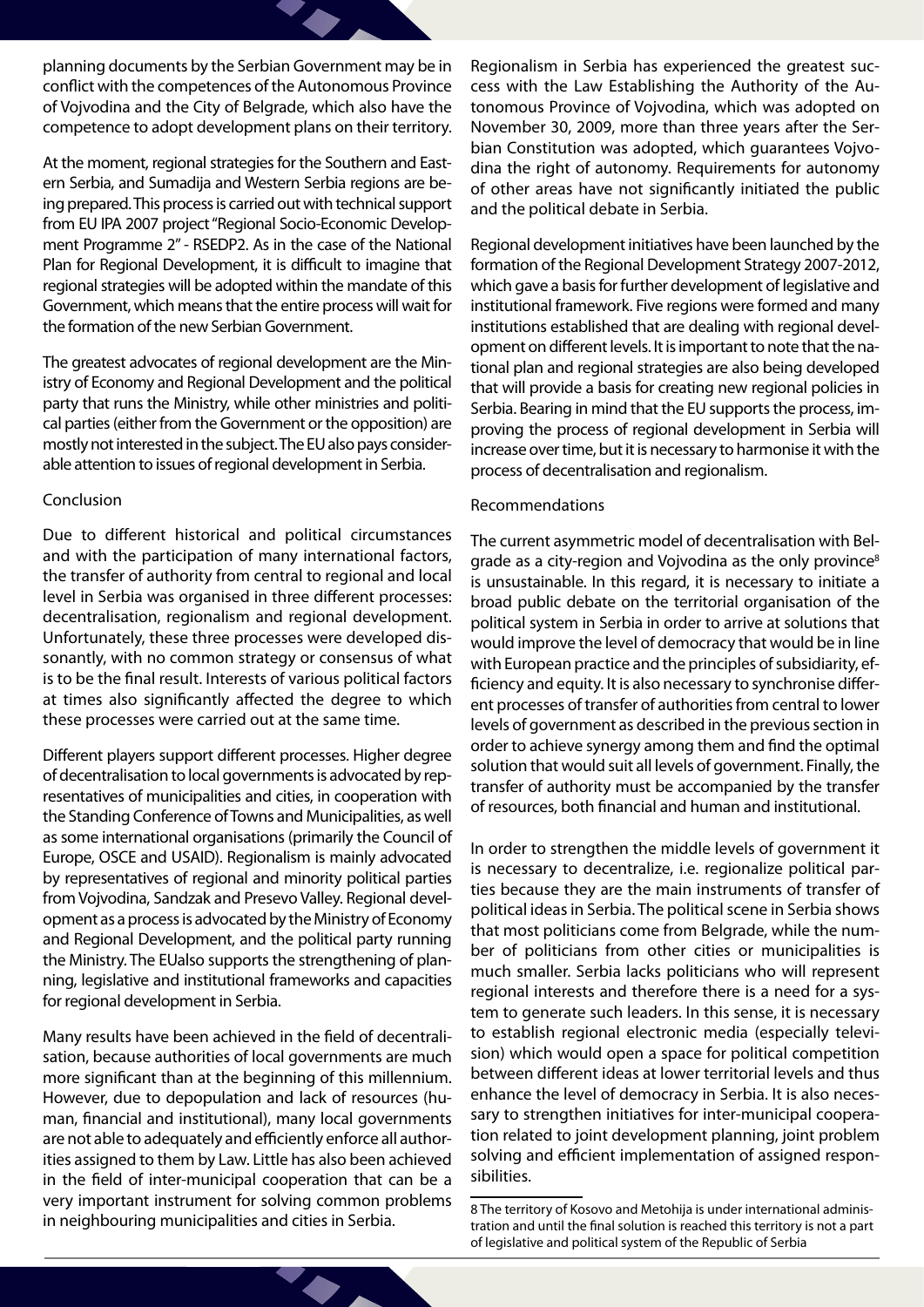planning documents by the Serbian Government may be in conflict with the competences of the Autonomous Province of Vojvodina and the City of Belgrade, which also have the competence to adopt development plans on their territory.

At the moment, regional strategies for the Southern and Eastern Serbia, and Sumadija and Western Serbia regions are being prepared. This process is carried out with technical support from EU IPA 2007 project "Regional Socio-Economic Development Programme 2" - RSEDP2. As in the case of the National Plan for Regional Development, it is difficult to imagine that regional strategies will be adopted within the mandate of this Government, which means that the entire process will wait for the formation of the new Serbian Government.

The greatest advocates of regional development are the Ministry of Economy and Regional Development and the political party that runs the Ministry, while other ministries and political parties (either from the Government or the opposition) are mostly not interested in the subject. The EU also pays considerable attention to issues of regional development in Serbia.

### Conclusion

Due to different historical and political circumstances and with the participation of many international factors, the transfer of authority from central to regional and local level in Serbia was organised in three different processes: decentralisation, regionalism and regional development. Unfortunately, these three processes were developed dissonantly, with no common strategy or consensus of what is to be the final result. Interests of various political factors at times also significantly affected the degree to which these processes were carried out at the same time.

Different players support different processes. Higher degree of decentralisation to local governments is advocated by representatives of municipalities and cities, in cooperation with the Standing Conference of Towns and Municipalities, as well as some international organisations (primarily the Council of Europe, OSCE and USAID). Regionalism is mainly advocated by representatives of regional and minority political parties from Vojvodina, Sandzak and Presevo Valley. Regional development as a process is advocated by the Ministry of Economy and Regional Development, and the political party running the Ministry. The EUalso supports the strengthening of planning, legislative and institutional frameworks and capacities for regional development in Serbia.

Many results have been achieved in the field of decentralisation, because authorities of local governments are much more significant than at the beginning of this millennium. However, due to depopulation and lack of resources (human, financial and institutional), many local governments are not able to adequately and efficiently enforce all authorities assigned to them by Law. Little has also been achieved in the field of inter-municipal cooperation that can be a very important instrument for solving common problems in neighbouring municipalities and cities in Serbia.

Regionalism in Serbia has experienced the greatest success with the Law Establishing the Authority of the Autonomous Province of Vojvodina, which was adopted on November 30, 2009, more than three years after the Serbian Constitution was adopted, which guarantees Vojvodina the right of autonomy. Requirements for autonomy of other areas have not significantly initiated the public and the political debate in Serbia.

Regional development initiatives have been launched by the formation of the Regional Development Strategy 2007-2012, which gave a basis for further development of legislative and institutional framework. Five regions were formed and many institutions established that are dealing with regional development on different levels. It is important to note that the national plan and regional strategies are also being developed that will provide a basis for creating new regional policies in Serbia. Bearing in mind that the EU supports the process, improving the process of regional development in Serbia will increase over time, but it is necessary to harmonise it with the process of decentralisation and regionalism.

### Recommendations

The current asymmetric model of decentralisation with Belgrade as a city-region and Vojvodina as the only province<sup>8</sup> is unsustainable. In this regard, it is necessary to initiate a broad public debate on the territorial organisation of the political system in Serbia in order to arrive at solutions that would improve the level of democracy that would be in line with European practice and the principles of subsidiarity, efficiency and equity. It is also necessary to synchronise different processes of transfer of authorities from central to lower levels of government as described in the previous section in order to achieve synergy among them and find the optimal solution that would suit all levels of government. Finally, the transfer of authority must be accompanied by the transfer of resources, both financial and human and institutional.

In order to strengthen the middle levels of government it is necessary to decentralize, i.e. regionalize political parties because they are the main instruments of transfer of political ideas in Serbia. The political scene in Serbia shows that most politicians come from Belgrade, while the number of politicians from other cities or municipalities is much smaller. Serbia lacks politicians who will represent regional interests and therefore there is a need for a system to generate such leaders. In this sense, it is necessary to establish regional electronic media (especially television) which would open a space for political competition between different ideas at lower territorial levels and thus enhance the level of democracy in Serbia. It is also necessary to strengthen initiatives for inter-municipal cooperation related to joint development planning, joint problem solving and efficient implementation of assigned responsibilities.

<sup>8</sup> The territory of Kosovo and Metohija is under international administration and until the final solution is reached this territory is not a part of legislative and political system of the Republic of Serbia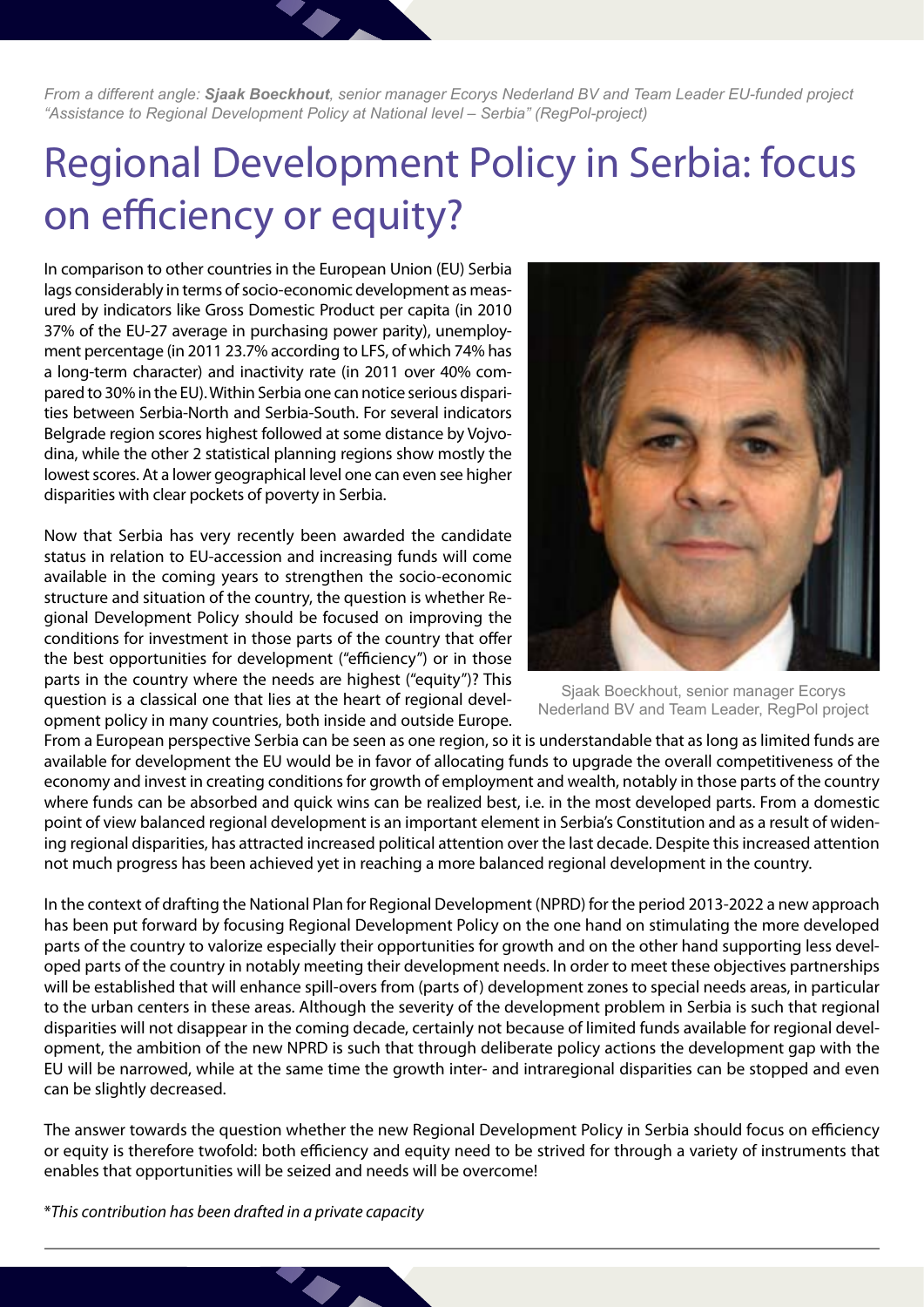*From a different angle: Sjaak Boeckhout, senior manager Ecorys Nederland BV and Team Leader EU-funded project "Assistance to Regional Development Policy at National level – Serbia" (RegPol-project)*

## Regional Development Policy in Serbia: focus on efficiency or equity?

In comparison to other countries in the European Union (EU) Serbia lags considerably in terms of socio-economic development as measured by indicators like Gross Domestic Product per capita (in 2010 37% of the EU-27 average in purchasing power parity), unemployment percentage (in 2011 23.7% according to LFS, of which 74% has a long-term character) and inactivity rate (in 2011 over 40% compared to 30% in the EU). Within Serbia one can notice serious disparities between Serbia-North and Serbia-South. For several indicators Belgrade region scores highest followed at some distance by Vojvodina, while the other 2 statistical planning regions show mostly the lowest scores. At a lower geographical level one can even see higher disparities with clear pockets of poverty in Serbia.

Now that Serbia has very recently been awarded the candidate status in relation to EU-accession and increasing funds will come available in the coming years to strengthen the socio-economic structure and situation of the country, the question is whether Regional Development Policy should be focused on improving the conditions for investment in those parts of the country that offer the best opportunities for development ("efficiency") or in those parts in the country where the needs are highest ("equity")? This question is a classical one that lies at the heart of regional development policy in many countries, both inside and outside Europe.



Sjaak Boeckhout, senior manager Ecorys Nederland BV and Team Leader, RegPol project

From a European perspective Serbia can be seen as one region, so it is understandable that as long as limited funds are available for development the EU would be in favor of allocating funds to upgrade the overall competitiveness of the economy and invest in creating conditions for growth of employment and wealth, notably in those parts of the country where funds can be absorbed and quick wins can be realized best, i.e. in the most developed parts. From a domestic point of view balanced regional development is an important element in Serbia's Constitution and as a result of widening regional disparities, has attracted increased political attention over the last decade. Despite this increased attention not much progress has been achieved yet in reaching a more balanced regional development in the country.

In the context of drafting the National Plan for Regional Development (NPRD) for the period 2013-2022 a new approach has been put forward by focusing Regional Development Policy on the one hand on stimulating the more developed parts of the country to valorize especially their opportunities for growth and on the other hand supporting less developed parts of the country in notably meeting their development needs. In order to meet these objectives partnerships will be established that will enhance spill-overs from (parts of) development zones to special needs areas, in particular to the urban centers in these areas. Although the severity of the development problem in Serbia is such that regional disparities will not disappear in the coming decade, certainly not because of limited funds available for regional development, the ambition of the new NPRD is such that through deliberate policy actions the development gap with the EU will be narrowed, while at the same time the growth inter- and intraregional disparities can be stopped and even can be slightly decreased.

The answer towards the question whether the new Regional Development Policy in Serbia should focus on efficiency or equity is therefore twofold: both efficiency and equity need to be strived for through a variety of instruments that enables that opportunities will be seized and needs will be overcome!

\**This contribution has been drafted in a private capacity*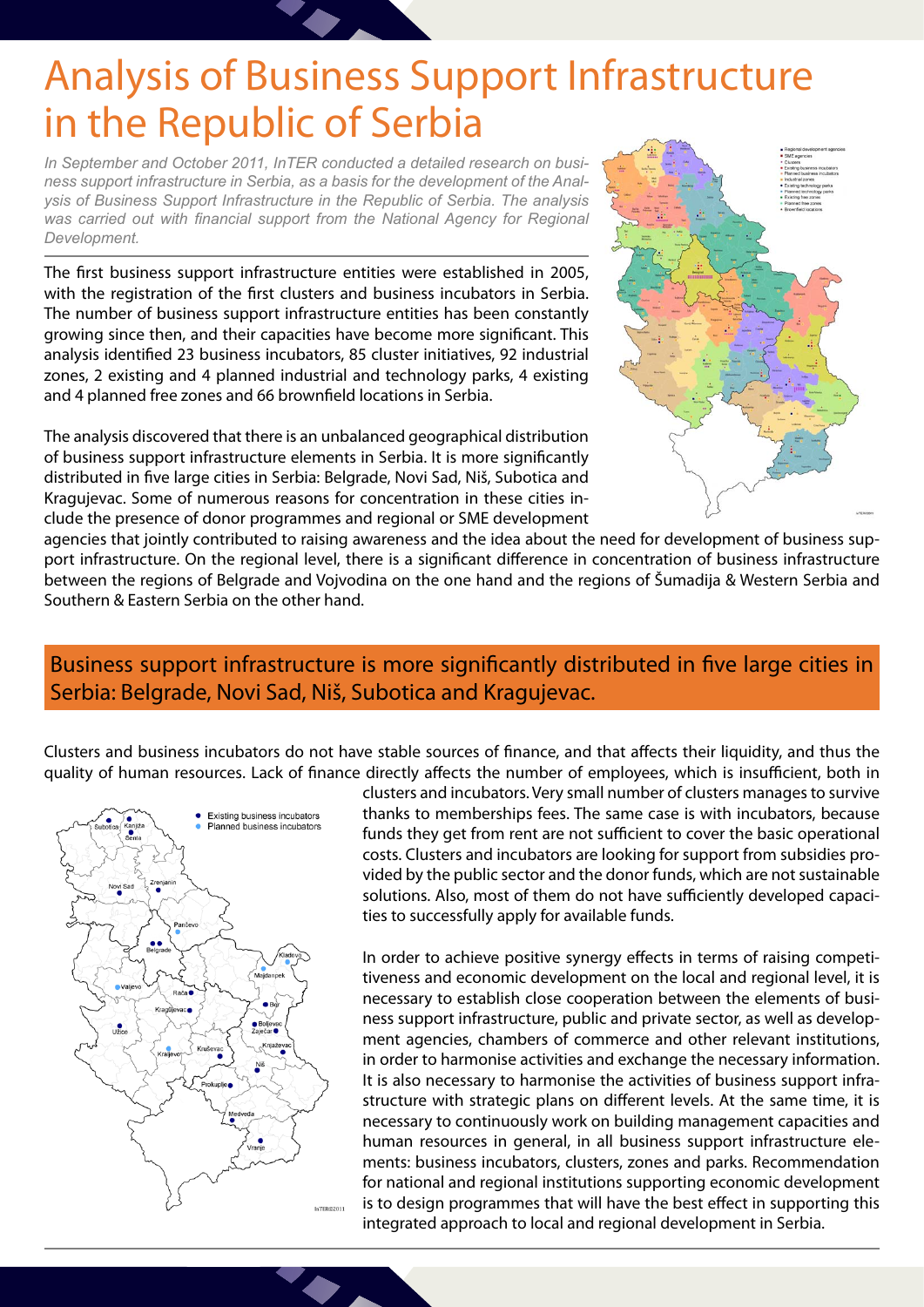## Analysis of Business Support Infrastructure in the Republic of Serbia

*In September and October 2011, InTER conducted a detailed research on business support infrastructure in Serbia, as a basis for the development of the Analysis of Business Support Infrastructure in the Republic of Serbia. The analysis*  was carried out with financial support from the National Agency for Regional *Development.*

The first business support infrastructure entities were established in 2005, with the registration of the first clusters and business incubators in Serbia. The number of business support infrastructure entities has been constantly growing since then, and their capacities have become more significant. This analysis identified 23 business incubators, 85 cluster initiatives, 92 industrial zones, 2 existing and 4 planned industrial and technology parks, 4 existing and 4 planned free zones and 66 brownfield locations in Serbia.

The analysis discovered that there is an unbalanced geographical distribution of business support infrastructure elements in Serbia. It is more significantly distributed in five large cities in Serbia: Belgrade, Novi Sad, Niš, Subotica and Kragujevac. Some of numerous reasons for concentration in these cities include the presence of donor programmes and regional or SME development



agencies that jointly contributed to raising awareness and the idea about the need for development of business support infrastructure. On the regional level, there is a significant difference in concentration of business infrastructure between the regions of Belgrade and Vojvodina on the one hand and the regions of Šumadija & Western Serbia and Southern & Eastern Serbia on the other hand.

### Business support infrastructure is more significantly distributed in five large cities in Serbia: Belgrade, Novi Sad, Niš, Subotica and Kragujevac.

Clusters and business incubators do not have stable sources of finance, and that affects their liquidity, and thus the quality of human resources. Lack of finance directly affects the number of employees, which is insufficient, both in



clusters and incubators. Very small number of clusters manages to survive thanks to memberships fees. The same case is with incubators, because funds they get from rent are not sufficient to cover the basic operational costs. Clusters and incubators are looking for support from subsidies provided by the public sector and the donor funds, which are not sustainable solutions. Also, most of them do not have sufficiently developed capacities to successfully apply for available funds.

In order to achieve positive synergy effects in terms of raising competitiveness and economic development on the local and regional level, it is necessary to establish close cooperation between the elements of business support infrastructure, public and private sector, as well as development agencies, chambers of commerce and other relevant institutions, in order to harmonise activities and exchange the necessary information. It is also necessary to harmonise the activities of business support infrastructure with strategic plans on different levels. At the same time, it is necessary to continuously work on building management capacities and human resources in general, in all business support infrastructure elements: business incubators, clusters, zones and parks. Recommendation for national and regional institutions supporting economic development is to design programmes that will have the best effect in supporting this integrated approach to local and regional development in Serbia.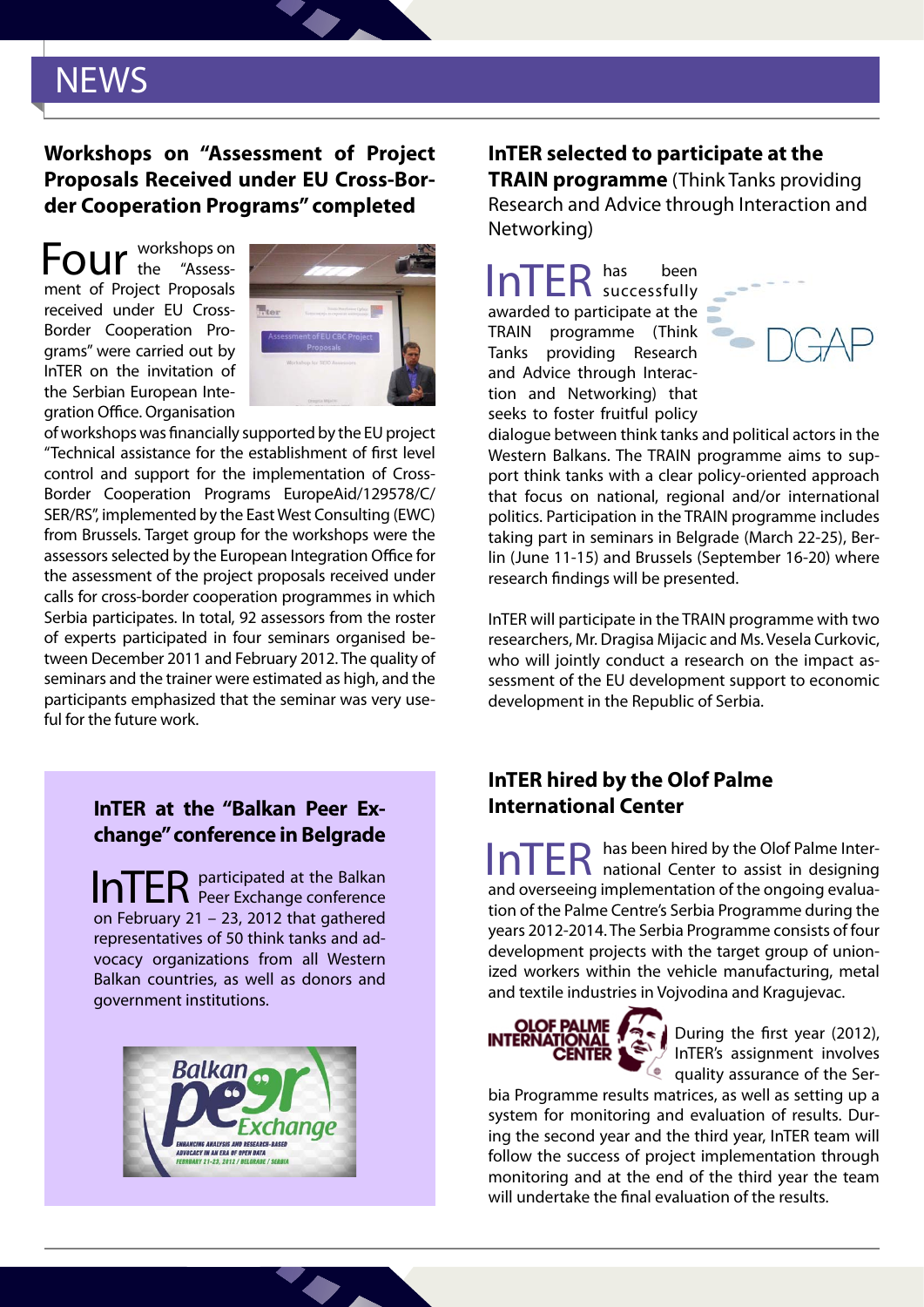### **NEWS**

### **Workshops on "Assessment of Project Proposals Received under EU Cross-Border Cooperation Programs" completed**

 $\sum_{\text{the}}^{\text{workshops on}}$ "Assessment of Project Proposals received under EU Cross-Border Cooperation Programs" were carried out by InTER on the invitation of the Serbian European Integration Office. Organisation



of workshops was financially supported by the EU project "Technical assistance for the establishment of first level control and support for the implementation of Cross-Border Cooperation Programs EuropeAid/129578/C/ SER/RS", implemented by the East West Consulting (EWC) from Brussels. Target group for the workshops were the assessors selected by the European Integration Office for the assessment of the project proposals received under calls for cross-border cooperation programmes in which Serbia participates. In total, 92 assessors from the roster of experts participated in four seminars organised between December 2011 and February 2012. The quality of seminars and the trainer were estimated as high, and the participants emphasized that the seminar was very useful for the future work.

### **InTER at the "Balkan Peer Exchange" conference in Belgrade**

InTER participated at the Balkan on February 21 – 23, 2012 that gathered representatives of 50 think tanks and advocacy organizations from all Western Balkan countries, as well as donors and government institutions.



**InTER selected to participate at the TRAIN programme** (Think Tanks providing Research and Advice through Interaction and Networking)

InTER has been awarded to participate at the TRAIN programme (Think Tanks providing Research and Advice through Interaction and Networking) that seeks to foster fruitful policy



dialogue between think tanks and political actors in the Western Balkans. The TRAIN programme aims to support think tanks with a clear policy-oriented approach that focus on national, regional and/or international politics. Participation in the TRAIN programme includes taking part in seminars in Belgrade (March 22-25), Berlin (June 11-15) and Brussels (September 16-20) where research findings will be presented.

InTER will participate in the TRAIN programme with two researchers, Mr. Dragisa Mijacic and Ms. Vesela Curkovic, who will jointly conduct a research on the impact assessment of the EU development support to economic development in the Republic of Serbia.

### **InTER hired by the Olof Palme International Center**

InTER has been hired by the Olof Palme Inter-<br>In TER national Center to assist in designing and overseeing implementation of the ongoing evaluation of the Palme Centre's Serbia Programme during the years 2012-2014. The Serbia Programme consists of four development projects with the target group of unionized workers within the vehicle manufacturing, metal and textile industries in Vojvodina and Kragujevac.



During the first year (2012), InTER's assignment involves quality assurance of the Ser-

bia Programme results matrices, as well as setting up a system for monitoring and evaluation of results. During the second year and the third year, InTER team will follow the success of project implementation through monitoring and at the end of the third year the team will undertake the final evaluation of the results.